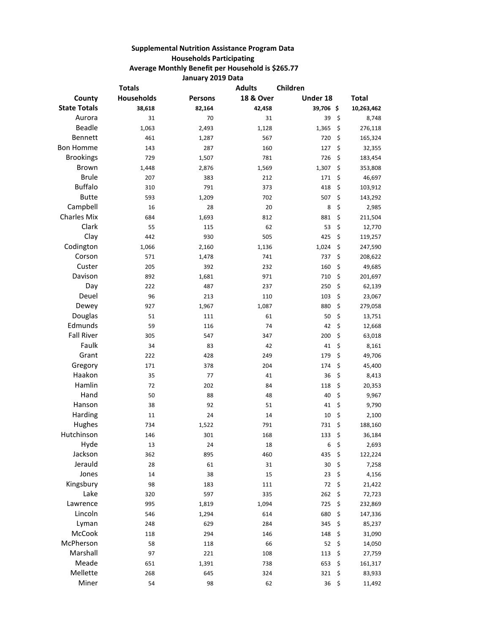## **Supplemental Nutrition Assistance Program Data Households Participating Average Monthly Benefit per Household is \$265.77 January 2019 Data**

|                     | <b>Totals</b>     |                | <b>Adults</b>        | Children  |               |
|---------------------|-------------------|----------------|----------------------|-----------|---------------|
| County              | <b>Households</b> | <b>Persons</b> | <b>18 &amp; Over</b> | Under 18  | Total         |
| <b>State Totals</b> | 38,618            | 82,164         | 42,458               | 39,706 \$ | 10,263,462    |
| Aurora              | 31                | 70             | 31                   | 39        | \$<br>8,748   |
| <b>Beadle</b>       | 1,063             | 2,493          | 1,128                | 1,365     | \$<br>276,118 |
| Bennett             | 461               | 1,287          | 567                  | 720       | \$<br>165,324 |
| <b>Bon Homme</b>    | 143               | 287            | 160                  | 127       | \$<br>32,355  |
| <b>Brookings</b>    | 729               | 1,507          | 781                  | 726       | \$<br>183,454 |
| <b>Brown</b>        | 1,448             | 2,876          | 1,569                | 1,307     | \$<br>353,808 |
| <b>Brule</b>        | 207               | 383            | 212                  | 171       | \$<br>46,697  |
| <b>Buffalo</b>      | 310               | 791            | 373                  | 418       | \$<br>103,912 |
| <b>Butte</b>        | 593               | 1,209          | 702                  | 507       | \$<br>143,292 |
| Campbell            | 16                | 28             | 20                   | 8         | \$<br>2,985   |
| <b>Charles Mix</b>  | 684               | 1,693          | 812                  | 881       | \$<br>211,504 |
| Clark               | 55                | 115            | 62                   | 53        | \$<br>12,770  |
| Clay                | 442               | 930            | 505                  | 425       | \$<br>119,257 |
| Codington           | 1,066             | 2,160          | 1,136                | 1,024     | \$<br>247,590 |
| Corson              | 571               | 1,478          | 741                  | 737       | \$<br>208,622 |
| Custer              | 205               | 392            | 232                  | 160       | \$<br>49,685  |
| Davison             | 892               | 1,681          | 971                  | 710       | \$<br>201,697 |
| Day                 | 222               | 487            | 237                  | 250       | \$<br>62,139  |
| Deuel               | 96                | 213            | 110                  | 103       | \$<br>23,067  |
| Dewey               | 927               | 1,967          | 1,087                | 880       | \$<br>279,058 |
| Douglas             | 51                | 111            | 61                   | 50        | \$<br>13,751  |
| Edmunds             | 59                | 116            | 74                   | 42        | \$<br>12,668  |
| <b>Fall River</b>   | 305               | 547            | 347                  | 200       | \$<br>63,018  |
| Faulk               | 34                | 83             | 42                   | 41        | \$<br>8,161   |
| Grant               | 222               | 428            | 249                  | 179       | \$<br>49,706  |
| Gregory             | 171               | 378            | 204                  | 174       | \$<br>45,400  |
| Haakon              | 35                | 77             | 41                   | 36        | \$<br>8,413   |
| Hamlin              | 72                | 202            | 84                   | 118       | \$<br>20,353  |
| Hand                | 50                | 88             | 48                   | 40        | \$<br>9,967   |
| Hanson              | 38                | 92             | 51                   | 41        | \$<br>9,790   |
| Harding             | 11                | 24             | 14                   | 10        | \$<br>2,100   |
| Hughes              | 734               | 1,522          | 791                  | 731       | \$<br>188,160 |
| Hutchinson          | 146               | 301            | 168                  | 133       | \$<br>36,184  |
| Hyde                | 13                | 24             | 18                   | 6         | \$<br>2,693   |
| Jackson             | 362               | 895            | 460                  | 435       | \$<br>122,224 |
| Jerauld             | 28                | 61             | 31                   | 30        | \$<br>7,258   |
| Jones               | 14                | 38             | 15                   | 23        | \$<br>4,156   |
| Kingsbury           | 98                | 183            | 111                  | 72        | \$<br>21,422  |
| Lake                | 320               | 597            | 335                  | 262       | \$<br>72,723  |
| Lawrence            | 995               | 1,819          | 1,094                | 725       | \$<br>232,869 |
| Lincoln             | 546               | 1,294          | 614                  | 680       | \$<br>147,336 |
| Lyman               | 248               | 629            | 284                  | 345       | \$<br>85,237  |
| McCook              | 118               | 294            | 146                  | 148       | \$<br>31,090  |
| McPherson           | 58                | 118            | 66                   | 52        | \$<br>14,050  |
| Marshall            | 97                | 221            | 108                  | 113       | \$<br>27,759  |
| Meade               | 651               | 1,391          | 738                  | 653       | \$<br>161,317 |
| Mellette            | 268               | 645            | 324                  | 321       | \$<br>83,933  |
| Miner               | 54                | 98             | 62                   | 36        | \$<br>11,492  |